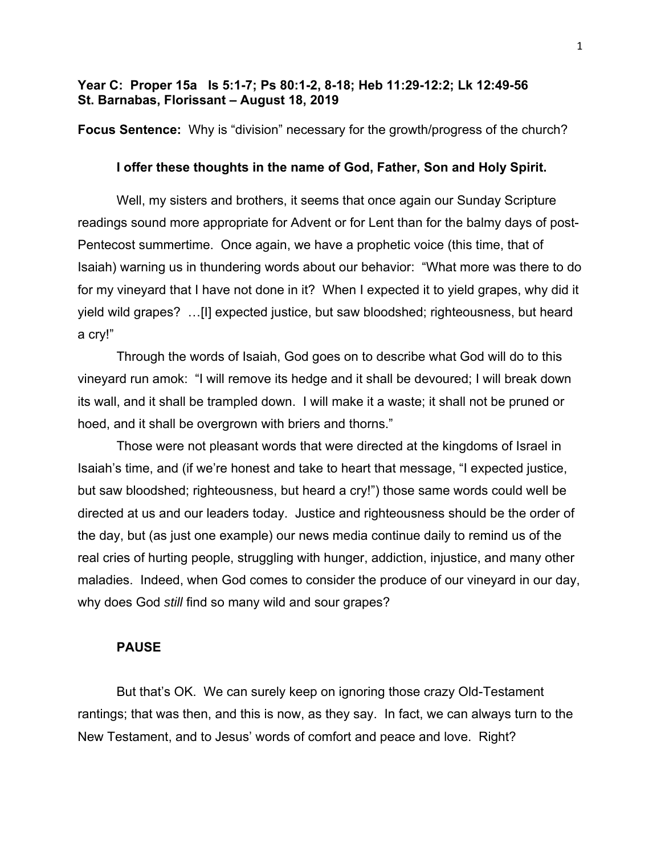# **Year C: Proper 15a Is 5:1-7; Ps 80:1-2, 8-18; Heb 11:29-12:2; Lk 12:49-56 St. Barnabas, Florissant – August 18, 2019**

**Focus Sentence:** Why is "division" necessary for the growth/progress of the church?

## **I offer these thoughts in the name of God, Father, Son and Holy Spirit.**

Well, my sisters and brothers, it seems that once again our Sunday Scripture readings sound more appropriate for Advent or for Lent than for the balmy days of post-Pentecost summertime. Once again, we have a prophetic voice (this time, that of Isaiah) warning us in thundering words about our behavior: "What more was there to do for my vineyard that I have not done in it? When I expected it to yield grapes, why did it yield wild grapes? …[I] expected justice, but saw bloodshed; righteousness, but heard a cry!"

Through the words of Isaiah, God goes on to describe what God will do to this vineyard run amok: "I will remove its hedge and it shall be devoured; I will break down its wall, and it shall be trampled down. I will make it a waste; it shall not be pruned or hoed, and it shall be overgrown with briers and thorns."

Those were not pleasant words that were directed at the kingdoms of Israel in Isaiah's time, and (if we're honest and take to heart that message, "I expected justice, but saw bloodshed; righteousness, but heard a cry!") those same words could well be directed at us and our leaders today. Justice and righteousness should be the order of the day, but (as just one example) our news media continue daily to remind us of the real cries of hurting people, struggling with hunger, addiction, injustice, and many other maladies. Indeed, when God comes to consider the produce of our vineyard in our day, why does God *still* find so many wild and sour grapes?

## **PAUSE**

But that's OK. We can surely keep on ignoring those crazy Old-Testament rantings; that was then, and this is now, as they say. In fact, we can always turn to the New Testament, and to Jesus' words of comfort and peace and love. Right?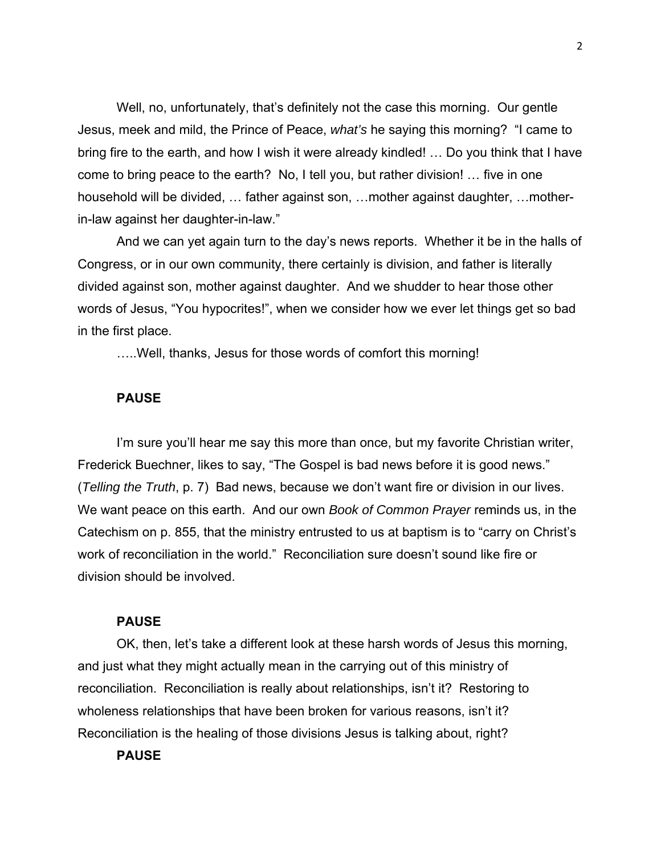Well, no, unfortunately, that's definitely not the case this morning. Our gentle Jesus, meek and mild, the Prince of Peace, *what's* he saying this morning? "I came to bring fire to the earth, and how I wish it were already kindled! … Do you think that I have come to bring peace to the earth? No, I tell you, but rather division! … five in one household will be divided, … father against son, …mother against daughter, …motherin-law against her daughter-in-law."

And we can yet again turn to the day's news reports. Whether it be in the halls of Congress, or in our own community, there certainly is division, and father is literally divided against son, mother against daughter. And we shudder to hear those other words of Jesus, "You hypocrites!", when we consider how we ever let things get so bad in the first place.

…..Well, thanks, Jesus for those words of comfort this morning!

## **PAUSE**

I'm sure you'll hear me say this more than once, but my favorite Christian writer, Frederick Buechner, likes to say, "The Gospel is bad news before it is good news." (*Telling the Truth*, p. 7) Bad news, because we don't want fire or division in our lives. We want peace on this earth. And our own *Book of Common Prayer* reminds us, in the Catechism on p. 855, that the ministry entrusted to us at baptism is to "carry on Christ's work of reconciliation in the world." Reconciliation sure doesn't sound like fire or division should be involved.

## **PAUSE**

OK, then, let's take a different look at these harsh words of Jesus this morning, and just what they might actually mean in the carrying out of this ministry of reconciliation. Reconciliation is really about relationships, isn't it? Restoring to wholeness relationships that have been broken for various reasons, isn't it? Reconciliation is the healing of those divisions Jesus is talking about, right?

# **PAUSE**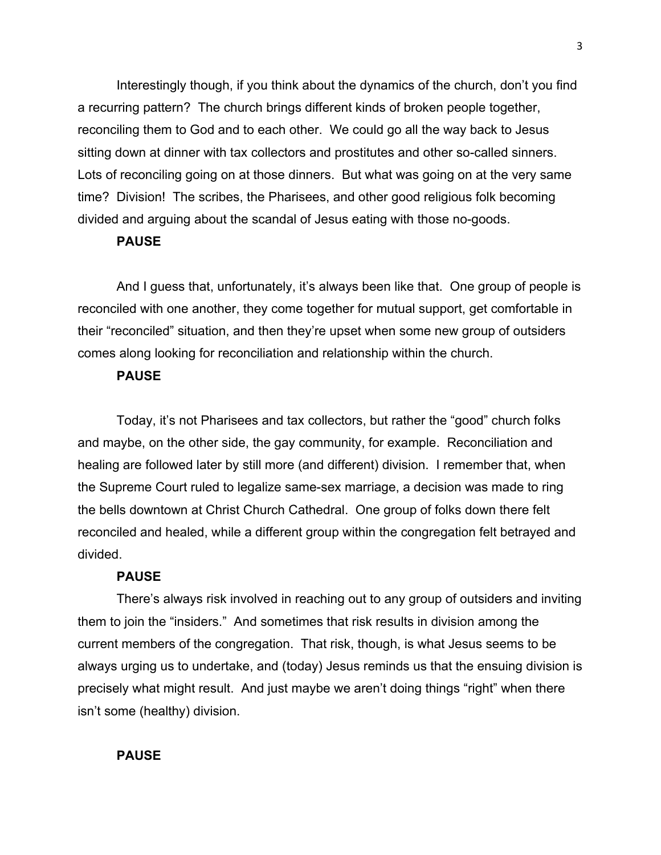Interestingly though, if you think about the dynamics of the church, don't you find a recurring pattern? The church brings different kinds of broken people together, reconciling them to God and to each other. We could go all the way back to Jesus sitting down at dinner with tax collectors and prostitutes and other so-called sinners. Lots of reconciling going on at those dinners. But what was going on at the very same time? Division! The scribes, the Pharisees, and other good religious folk becoming divided and arguing about the scandal of Jesus eating with those no-goods.

## **PAUSE**

And I guess that, unfortunately, it's always been like that. One group of people is reconciled with one another, they come together for mutual support, get comfortable in their "reconciled" situation, and then they're upset when some new group of outsiders comes along looking for reconciliation and relationship within the church.

# **PAUSE**

Today, it's not Pharisees and tax collectors, but rather the "good" church folks and maybe, on the other side, the gay community, for example. Reconciliation and healing are followed later by still more (and different) division. I remember that, when the Supreme Court ruled to legalize same-sex marriage, a decision was made to ring the bells downtown at Christ Church Cathedral. One group of folks down there felt reconciled and healed, while a different group within the congregation felt betrayed and divided.

#### **PAUSE**

There's always risk involved in reaching out to any group of outsiders and inviting them to join the "insiders." And sometimes that risk results in division among the current members of the congregation. That risk, though, is what Jesus seems to be always urging us to undertake, and (today) Jesus reminds us that the ensuing division is precisely what might result. And just maybe we aren't doing things "right" when there isn't some (healthy) division.

# **PAUSE**